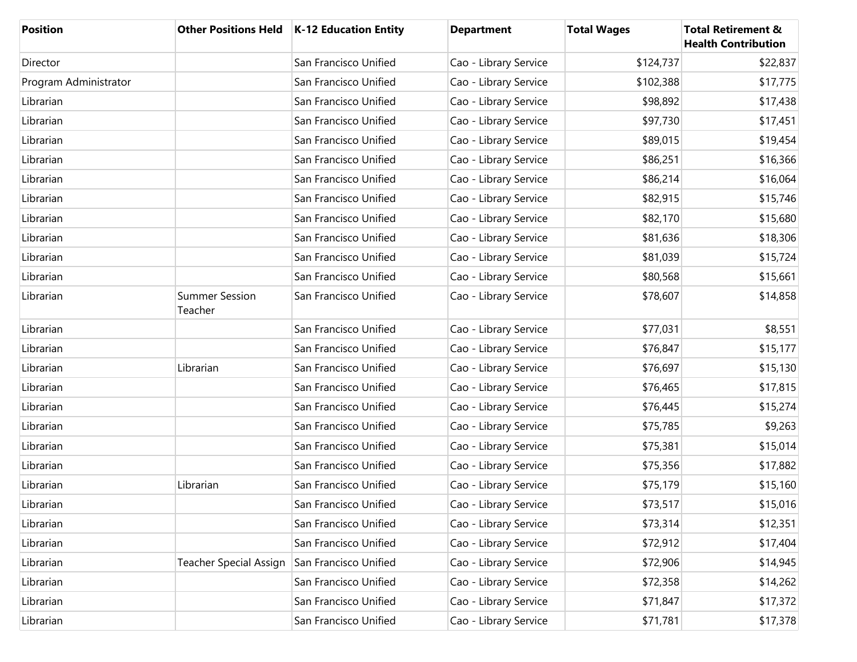| <b>Position</b>       | <b>Other Positions Held</b>      | $K-12$ Education Entity | <b>Department</b>     | <b>Total Wages</b> | <b>Total Retirement &amp;</b><br><b>Health Contribution</b> |
|-----------------------|----------------------------------|-------------------------|-----------------------|--------------------|-------------------------------------------------------------|
| Director              |                                  | San Francisco Unified   | Cao - Library Service | \$124,737          | \$22,837                                                    |
| Program Administrator |                                  | San Francisco Unified   | Cao - Library Service | \$102,388          | \$17,775                                                    |
| Librarian             |                                  | San Francisco Unified   | Cao - Library Service | \$98,892           | \$17,438                                                    |
| Librarian             |                                  | San Francisco Unified   | Cao - Library Service | \$97,730           | \$17,451                                                    |
| Librarian             |                                  | San Francisco Unified   | Cao - Library Service | \$89,015           | \$19,454                                                    |
| Librarian             |                                  | San Francisco Unified   | Cao - Library Service | \$86,251           | \$16,366                                                    |
| Librarian             |                                  | San Francisco Unified   | Cao - Library Service | \$86,214           | \$16,064                                                    |
| Librarian             |                                  | San Francisco Unified   | Cao - Library Service | \$82,915           | \$15,746                                                    |
| Librarian             |                                  | San Francisco Unified   | Cao - Library Service | \$82,170           | \$15,680                                                    |
| Librarian             |                                  | San Francisco Unified   | Cao - Library Service | \$81,636           | \$18,306                                                    |
| Librarian             |                                  | San Francisco Unified   | Cao - Library Service | \$81,039           | \$15,724                                                    |
| Librarian             |                                  | San Francisco Unified   | Cao - Library Service | \$80,568           | \$15,661                                                    |
| Librarian             | <b>Summer Session</b><br>Teacher | San Francisco Unified   | Cao - Library Service | \$78,607           | \$14,858                                                    |
| Librarian             |                                  | San Francisco Unified   | Cao - Library Service | \$77,031           | \$8,551                                                     |
| Librarian             |                                  | San Francisco Unified   | Cao - Library Service | \$76,847           | \$15,177                                                    |
| Librarian             | Librarian                        | San Francisco Unified   | Cao - Library Service | \$76,697           | \$15,130                                                    |
| Librarian             |                                  | San Francisco Unified   | Cao - Library Service | \$76,465           | \$17,815                                                    |
| Librarian             |                                  | San Francisco Unified   | Cao - Library Service | \$76,445           | \$15,274                                                    |
| Librarian             |                                  | San Francisco Unified   | Cao - Library Service | \$75,785           | \$9,263                                                     |
| Librarian             |                                  | San Francisco Unified   | Cao - Library Service | \$75,381           | \$15,014                                                    |
| Librarian             |                                  | San Francisco Unified   | Cao - Library Service | \$75,356           | \$17,882                                                    |
| Librarian             | Librarian                        | San Francisco Unified   | Cao - Library Service | \$75,179           | \$15,160                                                    |
| Librarian             |                                  | San Francisco Unified   | Cao - Library Service | \$73,517           | \$15,016                                                    |
| Librarian             |                                  | San Francisco Unified   | Cao - Library Service | \$73,314           | \$12,351                                                    |
| Librarian             |                                  | San Francisco Unified   | Cao - Library Service | \$72,912           | \$17,404                                                    |
| Librarian             | <b>Teacher Special Assign</b>    | San Francisco Unified   | Cao - Library Service | \$72,906           | \$14,945                                                    |
| Librarian             |                                  | San Francisco Unified   | Cao - Library Service | \$72,358           | \$14,262                                                    |
| Librarian             |                                  | San Francisco Unified   | Cao - Library Service | \$71,847           | \$17,372                                                    |
| Librarian             |                                  | San Francisco Unified   | Cao - Library Service | \$71,781           | \$17,378                                                    |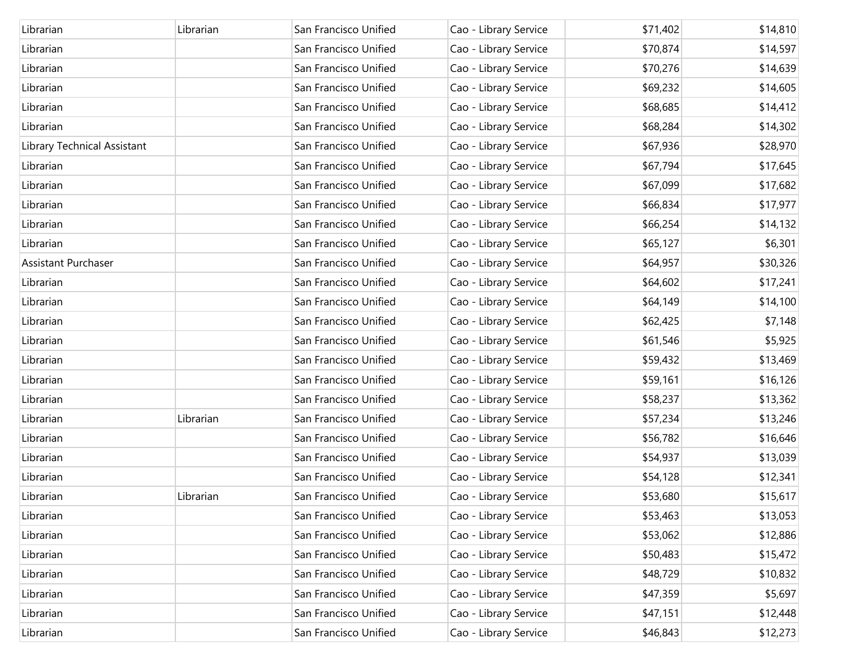| Librarian                   | Librarian | San Francisco Unified | Cao - Library Service | \$71,402 | \$14,810 |
|-----------------------------|-----------|-----------------------|-----------------------|----------|----------|
| Librarian                   |           | San Francisco Unified | Cao - Library Service | \$70,874 | \$14,597 |
| Librarian                   |           | San Francisco Unified | Cao - Library Service | \$70,276 | \$14,639 |
| Librarian                   |           | San Francisco Unified | Cao - Library Service | \$69,232 | \$14,605 |
| Librarian                   |           | San Francisco Unified | Cao - Library Service | \$68,685 | \$14,412 |
| Librarian                   |           | San Francisco Unified | Cao - Library Service | \$68,284 | \$14,302 |
| Library Technical Assistant |           | San Francisco Unified | Cao - Library Service | \$67,936 | \$28,970 |
| Librarian                   |           | San Francisco Unified | Cao - Library Service | \$67,794 | \$17,645 |
| Librarian                   |           | San Francisco Unified | Cao - Library Service | \$67,099 | \$17,682 |
| Librarian                   |           | San Francisco Unified | Cao - Library Service | \$66,834 | \$17,977 |
| Librarian                   |           | San Francisco Unified | Cao - Library Service | \$66,254 | \$14,132 |
| Librarian                   |           | San Francisco Unified | Cao - Library Service | \$65,127 | \$6,301  |
| Assistant Purchaser         |           | San Francisco Unified | Cao - Library Service | \$64,957 | \$30,326 |
| Librarian                   |           | San Francisco Unified | Cao - Library Service | \$64,602 | \$17,241 |
| Librarian                   |           | San Francisco Unified | Cao - Library Service | \$64,149 | \$14,100 |
| Librarian                   |           | San Francisco Unified | Cao - Library Service | \$62,425 | \$7,148  |
| Librarian                   |           | San Francisco Unified | Cao - Library Service | \$61,546 | \$5,925  |
| Librarian                   |           | San Francisco Unified | Cao - Library Service | \$59,432 | \$13,469 |
| Librarian                   |           | San Francisco Unified | Cao - Library Service | \$59,161 | \$16,126 |
| Librarian                   |           | San Francisco Unified | Cao - Library Service | \$58,237 | \$13,362 |
| Librarian                   | Librarian | San Francisco Unified | Cao - Library Service | \$57,234 | \$13,246 |
| Librarian                   |           | San Francisco Unified | Cao - Library Service | \$56,782 | \$16,646 |
| Librarian                   |           | San Francisco Unified | Cao - Library Service | \$54,937 | \$13,039 |
| Librarian                   |           | San Francisco Unified | Cao - Library Service | \$54,128 | \$12,341 |
| Librarian                   | Librarian | San Francisco Unified | Cao - Library Service | \$53,680 | \$15,617 |
| Librarian                   |           | San Francisco Unified | Cao - Library Service | \$53,463 | \$13,053 |
| Librarian                   |           | San Francisco Unified | Cao - Library Service | \$53,062 | \$12,886 |
| Librarian                   |           | San Francisco Unified | Cao - Library Service | \$50,483 | \$15,472 |
| Librarian                   |           | San Francisco Unified | Cao - Library Service | \$48,729 | \$10,832 |
| Librarian                   |           | San Francisco Unified | Cao - Library Service | \$47,359 | \$5,697  |
| Librarian                   |           | San Francisco Unified | Cao - Library Service | \$47,151 | \$12,448 |
| Librarian                   |           | San Francisco Unified | Cao - Library Service | \$46,843 | \$12,273 |